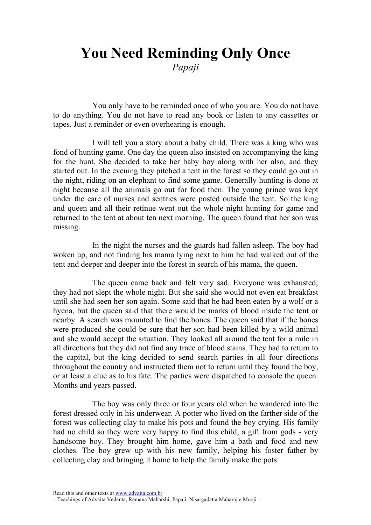## You Need Reminding Only Once

Papaji

You only have to be reminded once of who you are. You do not have to do anything. You do not have to read any book or listen to any cassettes or tapes. Just a reminder or even overhearing is enough.

I will tell you a story about a baby child. There was a king who was fond of hunting game. One day the queen also insisted on accompanying the king for the hunt. She decided to take her baby boy along with her also, and they started out. In the evening they pitched a tent in the forest so they could go out in the night, riding on an elephant to find some game. Generally hunting is done at night because all the animals go out for food then. The young prince was kept under the care of nurses and sentries were posted outside the tent. So the king and queen and all their retinue went out the whole night hunting for game and returned to the tent at about ten next morning. The queen found that her son was missing.

In the night the nurses and the guards had fallen asleep. The boy had woken up, and not finding his mama lying next to him he had walked out of the tent and deeper and deeper into the forest in search of his mama, the queen.

The queen came back and felt very sad. Everyone was exhausted; they had not slept the whole night. But she said she would not even eat breakfast until she had seen her son again. Some said that he had been eaten by a wolf or a hyena, but the queen said that there would be marks of blood inside the tent or nearby. A search was mounted to find the bones. The queen said that if the bones were produced she could be sure that her son had been killed by a wild animal and she would accept the situation. They looked all around the tent for a mile in all directions but they did not find any trace of blood stains. They had to return to the capital, but the king decided to send search parties in all four directions throughout the country and instructed them not to return until they found the boy, or at least a clue as to his fate. The parties were dispatched to console the queen. Months and years passed.

The boy was only three or four years old when he wandered into the forest dressed only in his underwear. A potter who lived on the farther side of the forest was collecting clay to make his pots and found the boy crying. His family had no child so they were very happy to find this child, a gift from gods - very handsome boy. They brought him home, gave him a bath and food and new clothes. The boy grew up with his new family, helping his foster father by collecting clay and bringing it home to help the family make the pots.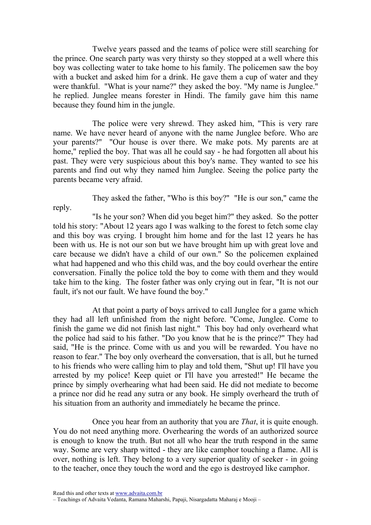Twelve years passed and the teams of police were still searching for the prince. One search party was very thirsty so they stopped at a well where this boy was collecting water to take home to his family. The policemen saw the boy with a bucket and asked him for a drink. He gave them a cup of water and they were thankful. "What is your name?" they asked the boy. "My name is Junglee." he replied. Junglee means forester in Hindi. The family gave him this name because they found him in the jungle.

The police were very shrewd. They asked him, "This is very rare name. We have never heard of anyone with the name Junglee before. Who are your parents?" "Our house is over there. We make pots. My parents are at home," replied the boy. That was all he could say - he had forgotten all about his past. They were very suspicious about this boy's name. They wanted to see his parents and find out why they named him Junglee. Seeing the police party the parents became very afraid.

They asked the father, "Who is this boy?" "He is our son," came the reply.

"Is he your son? When did you beget him?" they asked. So the potter told his story: "About 12 years ago I was walking to the forest to fetch some clay and this boy was crying. I brought him home and for the last 12 years he has been with us. He is not our son but we have brought him up with great love and care because we didn't have a child of our own." So the policemen explained what had happened and who this child was, and the boy could overhear the entire conversation. Finally the police told the boy to come with them and they would take him to the king. The foster father was only crying out in fear, "It is not our fault, it's not our fault. We have found the boy."

At that point a party of boys arrived to call Junglee for a game which they had all left unfinished from the night before. "Come, Junglee. Come to finish the game we did not finish last night." This boy had only overheard what the police had said to his father. "Do you know that he is the prince?" They had said, "He is the prince. Come with us and you will be rewarded. You have no reason to fear." The boy only overheard the conversation, that is all, but he turned to his friends who were calling him to play and told them, "Shut up! I'll have you arrested by my police! Keep quiet or I'll have you arrested!" He became the prince by simply overhearing what had been said. He did not mediate to become a prince nor did he read any sutra or any book. He simply overheard the truth of his situation from an authority and immediately he became the prince.

Once you hear from an authority that you are *That*, it is quite enough. You do not need anything more. Overhearing the words of an authorized source is enough to know the truth. But not all who hear the truth respond in the same way. Some are very sharp witted - they are like camphor touching a flame. All is over, nothing is left. They belong to a very superior quality of seeker - in going to the teacher, once they touch the word and the ego is destroyed like camphor.

Read this and other texts at www.advaita.com.br

<sup>–</sup> Teachings of Advaita Vedanta, Ramana Maharshi, Papaji, Nisargadatta Maharaj e Mooji –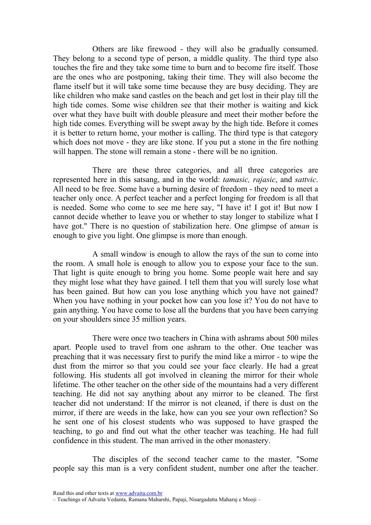Others are like firewood - they will also be gradually consumed. They belong to a second type of person, a middle quality. The third type also touches the fire and they take some time to burn and to become fire itself. Those are the ones who are postponing, taking their time. They will also become the flame itself but it will take some time because they are busy deciding. They are like children who make sand castles on the beach and get lost in their play till the high tide comes. Some wise children see that their mother is waiting and kick over what they have built with double pleasure and meet their mother before the high tide comes. Everything will be swept away by the high tide. Before it comes it is better to return home, your mother is calling. The third type is that category which does not move - they are like stone. If you put a stone in the fire nothing will happen. The stone will remain a stone - there will be no ignition.

There are these three categories, and all three categories are represented here in this satsang, and in the world: tamasic, rajasic, and sattvic. All need to be free. Some have a burning desire of freedom - they need to meet a teacher only once. A perfect teacher and a perfect longing for freedom is all that is needed. Some who come to see me here say, "I have it! I got it! But now I cannot decide whether to leave you or whether to stay longer to stabilize what I have got." There is no question of stabilization here. One glimpse of atman is enough to give you light. One glimpse is more than enough.

A small window is enough to allow the rays of the sun to come into the room. A small hole is enough to allow you to expose your face to the sun. That light is quite enough to bring you home. Some people wait here and say they might lose what they have gained. I tell them that you will surely lose what has been gained. But how can you lose anything which you have not gained? When you have nothing in your pocket how can you lose it? You do not have to gain anything. You have come to lose all the burdens that you have been carrying on your shoulders since 35 million years.

There were once two teachers in China with ashrams about 500 miles apart. People used to travel from one ashram to the other. One teacher was preaching that it was necessary first to purify the mind like a mirror - to wipe the dust from the mirror so that you could see your face clearly. He had a great following. His students all got involved in cleaning the mirror for their whole lifetime. The other teacher on the other side of the mountains had a very different teaching. He did not say anything about any mirror to be cleaned. The first teacher did not understand: If the mirror is not cleaned, if there is dust on the mirror, if there are weeds in the lake, how can you see your own reflection? So he sent one of his closest students who was supposed to have grasped the teaching, to go and find out what the other teacher was teaching. He had full confidence in this student. The man arrived in the other monastery.

The disciples of the second teacher came to the master. "Some people say this man is a very confident student, number one after the teacher.

Read this and other texts at www.advaita.com.br

<sup>–</sup> Teachings of Advaita Vedanta, Ramana Maharshi, Papaji, Nisargadatta Maharaj e Mooji –